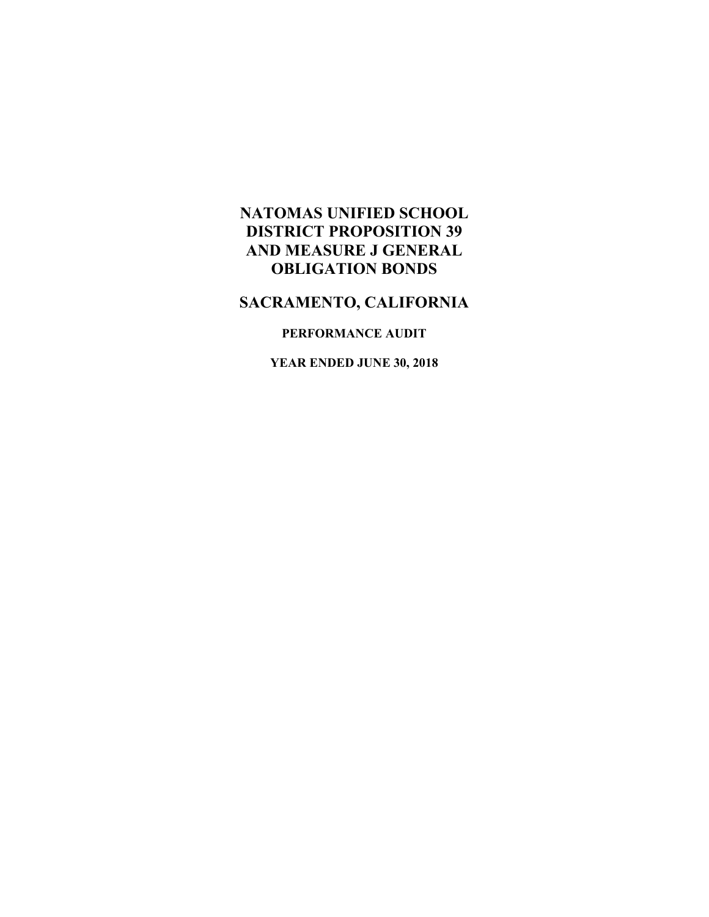## **NATOMAS UNIFIED SCHOOL DISTRICT PROPOSITION 39 AND MEASURE J GENERAL OBLIGATION BONDS**

# **SACRAMENTO, CALIFORNIA**

### **PERFORMANCE AUDIT**

**YEAR ENDED JUNE 30, 2018**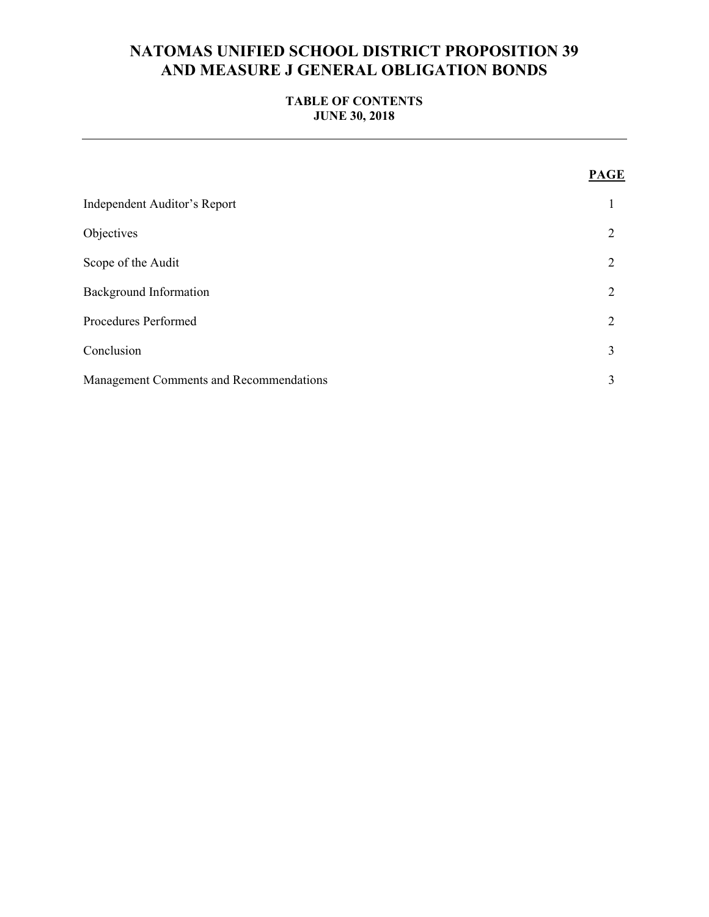## **NATOMAS UNIFIED SCHOOL DISTRICT PROPOSITION 39 AND MEASURE J GENERAL OBLIGATION BONDS**

### **TABLE OF CONTENTS JUNE 30, 2018**

|                                         | <b>PAGE</b>    |
|-----------------------------------------|----------------|
| Independent Auditor's Report            | 1              |
| Objectives                              | 2              |
| Scope of the Audit                      | $\overline{2}$ |
| <b>Background Information</b>           | $\overline{2}$ |
| Procedures Performed                    | $\overline{2}$ |
| Conclusion                              | 3              |
| Management Comments and Recommendations | 3              |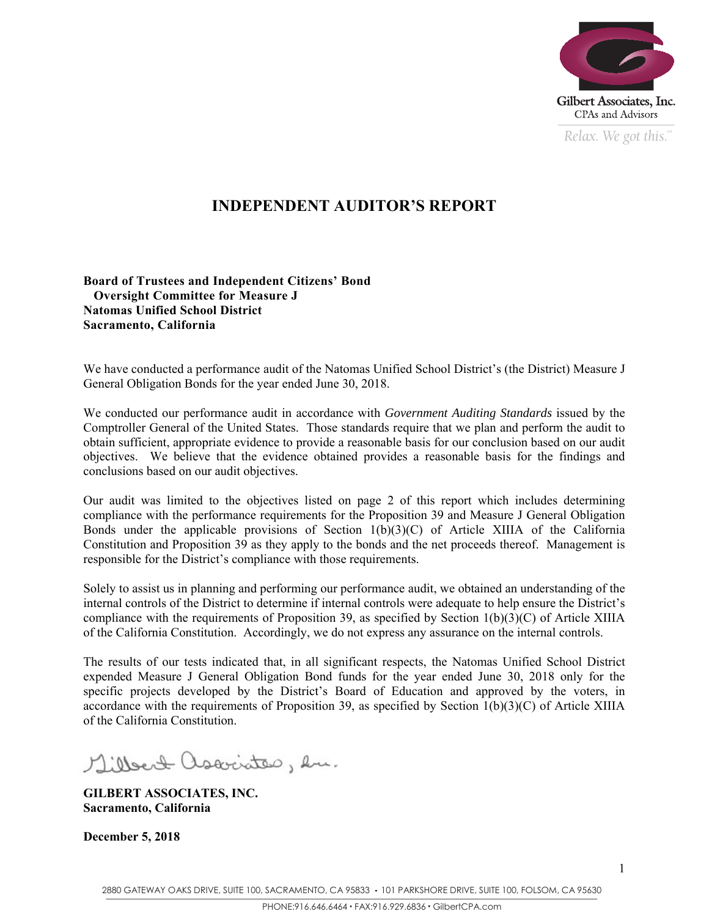

*Relax. We got this.*  $\alpha$ 

## **INDEPENDENT AUDITOR'S REPORT**

**Board of Trustees and Independent Citizens' Bond Oversight Committee for Measure J Natomas Unified School District Sacramento, California** 

We have conducted a performance audit of the Natomas Unified School District's (the District) Measure J General Obligation Bonds for the year ended June 30, 2018.

We conducted our performance audit in accordance with *Government Auditing Standards* issued by the Comptroller General of the United States. Those standards require that we plan and perform the audit to obtain sufficient, appropriate evidence to provide a reasonable basis for our conclusion based on our audit objectives. We believe that the evidence obtained provides a reasonable basis for the findings and conclusions based on our audit objectives.

Our audit was limited to the objectives listed on page 2 of this report which includes determining compliance with the performance requirements for the Proposition 39 and Measure J General Obligation Bonds under the applicable provisions of Section  $1(b)(3)(C)$  of Article XIIIA of the California Constitution and Proposition 39 as they apply to the bonds and the net proceeds thereof. Management is responsible for the District's compliance with those requirements.

Solely to assist us in planning and performing our performance audit, we obtained an understanding of the internal controls of the District to determine if internal controls were adequate to help ensure the District's compliance with the requirements of Proposition 39, as specified by Section 1(b)(3)(C) of Article XIIIA of the California Constitution. Accordingly, we do not express any assurance on the internal controls.

The results of our tests indicated that, in all significant respects, the Natomas Unified School District expended Measure J General Obligation Bond funds for the year ended June 30, 2018 only for the specific projects developed by the District's Board of Education and approved by the voters, in accordance with the requirements of Proposition 39, as specified by Section 1(b)(3)(C) of Article XIIIA of the California Constitution.

Millert associates, en.

**GILBERT ASSOCIATES, INC. Sacramento, California** 

**December 5, 2018**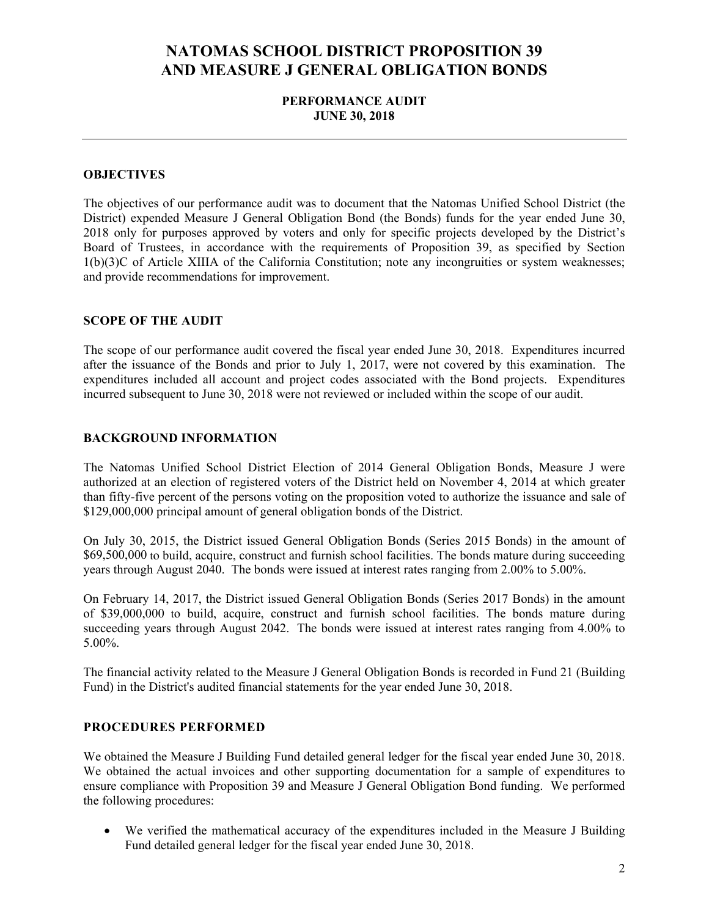## **NATOMAS SCHOOL DISTRICT PROPOSITION 39 AND MEASURE J GENERAL OBLIGATION BONDS**

#### **PERFORMANCE AUDIT JUNE 30, 2018**

#### **OBJECTIVES**

The objectives of our performance audit was to document that the Natomas Unified School District (the District) expended Measure J General Obligation Bond (the Bonds) funds for the year ended June 30, 2018 only for purposes approved by voters and only for specific projects developed by the District's Board of Trustees, in accordance with the requirements of Proposition 39, as specified by Section 1(b)(3)C of Article XIIIA of the California Constitution; note any incongruities or system weaknesses; and provide recommendations for improvement.

#### **SCOPE OF THE AUDIT**

The scope of our performance audit covered the fiscal year ended June 30, 2018. Expenditures incurred after the issuance of the Bonds and prior to July 1, 2017, were not covered by this examination. The expenditures included all account and project codes associated with the Bond projects. Expenditures incurred subsequent to June 30, 2018 were not reviewed or included within the scope of our audit.

#### **BACKGROUND INFORMATION**

The Natomas Unified School District Election of 2014 General Obligation Bonds, Measure J were authorized at an election of registered voters of the District held on November 4, 2014 at which greater than fifty-five percent of the persons voting on the proposition voted to authorize the issuance and sale of \$129,000,000 principal amount of general obligation bonds of the District.

On July 30, 2015, the District issued General Obligation Bonds (Series 2015 Bonds) in the amount of \$69,500,000 to build, acquire, construct and furnish school facilities. The bonds mature during succeeding years through August 2040. The bonds were issued at interest rates ranging from 2.00% to 5.00%.

On February 14, 2017, the District issued General Obligation Bonds (Series 2017 Bonds) in the amount of \$39,000,000 to build, acquire, construct and furnish school facilities. The bonds mature during succeeding years through August 2042. The bonds were issued at interest rates ranging from 4.00% to 5.00%.

The financial activity related to the Measure J General Obligation Bonds is recorded in Fund 21 (Building Fund) in the District's audited financial statements for the year ended June 30, 2018.

#### **PROCEDURES PERFORMED**

We obtained the Measure J Building Fund detailed general ledger for the fiscal year ended June 30, 2018. We obtained the actual invoices and other supporting documentation for a sample of expenditures to ensure compliance with Proposition 39 and Measure J General Obligation Bond funding. We performed the following procedures:

 We verified the mathematical accuracy of the expenditures included in the Measure J Building Fund detailed general ledger for the fiscal year ended June 30, 2018.